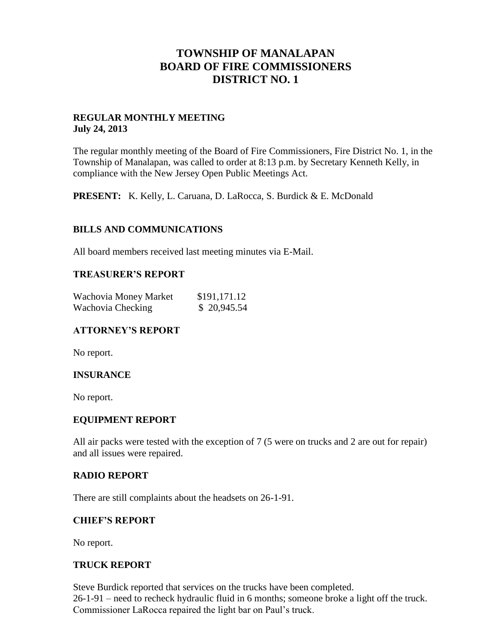## **TOWNSHIP OF MANALAPAN BOARD OF FIRE COMMISSIONERS DISTRICT NO. 1**

## **REGULAR MONTHLY MEETING July 24, 2013**

The regular monthly meeting of the Board of Fire Commissioners, Fire District No. 1, in the Township of Manalapan, was called to order at 8:13 p.m. by Secretary Kenneth Kelly, in compliance with the New Jersey Open Public Meetings Act.

**PRESENT:** K. Kelly, L. Caruana, D. LaRocca, S. Burdick & E. McDonald

## **BILLS AND COMMUNICATIONS**

All board members received last meeting minutes via E-Mail.

#### **TREASURER'S REPORT**

| Wachovia Money Market<br>Wachovia Checking | \$191,171.12 |
|--------------------------------------------|--------------|
|                                            | \$20,945.54  |

#### **ATTORNEY'S REPORT**

No report.

#### **INSURANCE**

No report.

#### **EQUIPMENT REPORT**

All air packs were tested with the exception of 7 (5 were on trucks and 2 are out for repair) and all issues were repaired.

#### **RADIO REPORT**

There are still complaints about the headsets on 26-1-91.

#### **CHIEF'S REPORT**

No report.

#### **TRUCK REPORT**

Steve Burdick reported that services on the trucks have been completed. 26-1-91 – need to recheck hydraulic fluid in 6 months; someone broke a light off the truck. Commissioner LaRocca repaired the light bar on Paul's truck.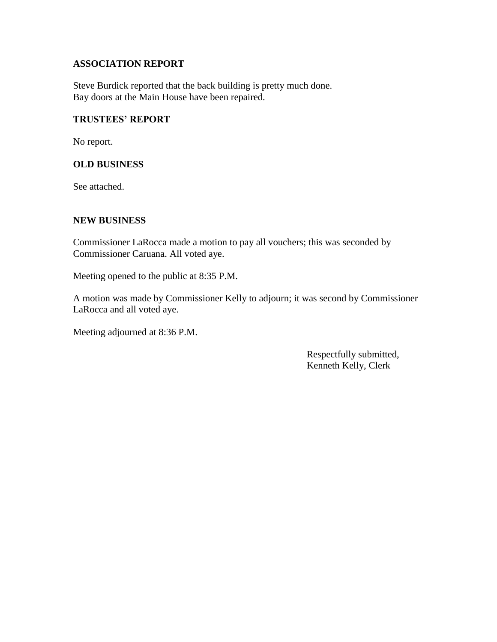## **ASSOCIATION REPORT**

Steve Burdick reported that the back building is pretty much done. Bay doors at the Main House have been repaired.

### **TRUSTEES' REPORT**

No report.

## **OLD BUSINESS**

See attached.

## **NEW BUSINESS**

Commissioner LaRocca made a motion to pay all vouchers; this was seconded by Commissioner Caruana. All voted aye.

Meeting opened to the public at 8:35 P.M.

A motion was made by Commissioner Kelly to adjourn; it was second by Commissioner LaRocca and all voted aye.

Meeting adjourned at 8:36 P.M.

 Respectfully submitted, Kenneth Kelly, Clerk